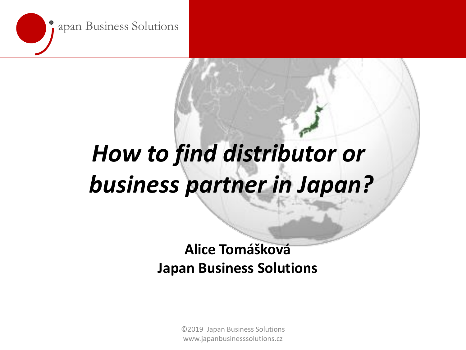

## *How to find distributor or busines[s partner in Japan?](http://en.wikipedia.org/wiki/File:Japan_(orthographic_projection).svg)*

#### **Alice Tomášková Japan Business Solutions**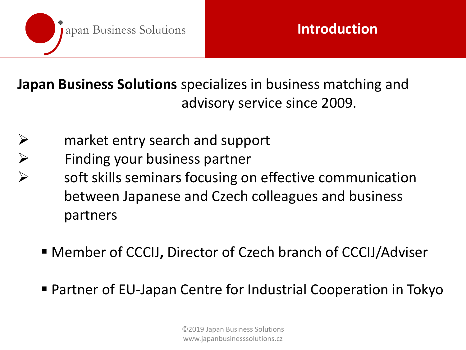

**Japan Business Solutions** specializes in business matching and advisory service since 2009.

- $\triangleright$  market entry search and support
- $\triangleright$  Finding your business partner
	- soft skills seminars focusing on effective communication between Japanese and Czech colleagues and business partners
		- Member of CCCIJ**,** Director of Czech branch of CCCIJ/Adviser
		- Partner of EU-Japan Centre for Industrial Cooperation in Tokyo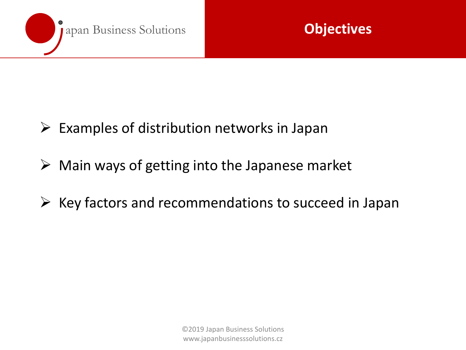



- $\triangleright$  Examples of distribution networks in Japan
- $\triangleright$  Main ways of getting into the Japanese market
- $\triangleright$  Key factors and recommendations to succeed in Japan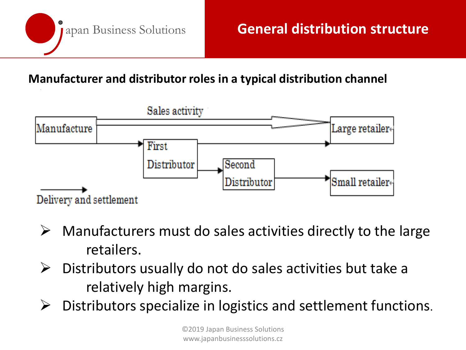

#### **Manufacturer and distributor roles in a typical distribution channel**



- $\triangleright$  Manufacturers must do sales activities directly to the large retailers.
- $\triangleright$  Distributors usually do not do sales activities but take a relatively high margins.
- $\triangleright$  Distributors specialize in logistics and settlement functions.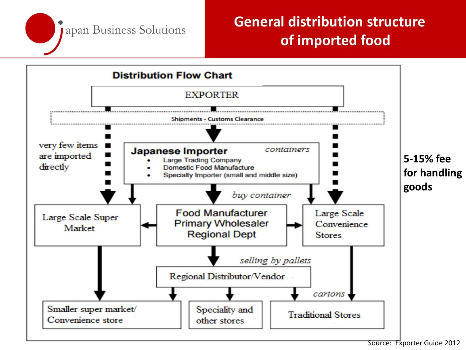

#### **General distribution structure of imported food**

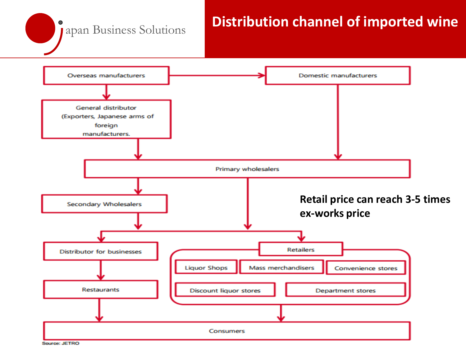# apan Business Solutions

#### **Distribution channel of imported wine**



Source: JETRO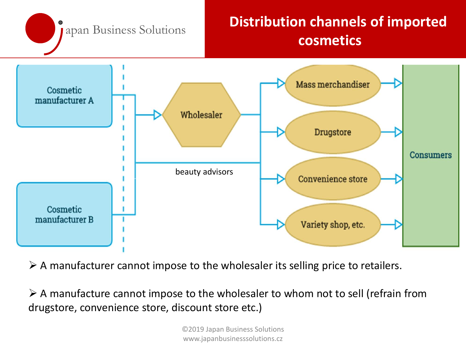apan Business Solutions

### **Distribution channels of imported cosmetics**



 $\triangleright$  A manufacturer cannot impose to the wholesaler its selling price to retailers.

 $\triangleright$  A manufacture cannot impose to the wholesaler to whom not to sell (refrain from drugstore, convenience store, discount store etc.)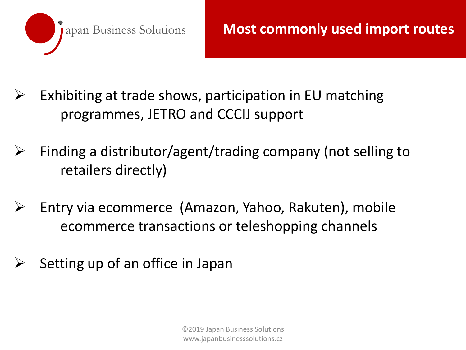

- Exhibiting at trade shows, participation in EU matching programmes, JETRO and CCCIJ support
- $\triangleright$  Finding a distributor/agent/trading company (not selling to retailers directly)
- Entry via ecommerce (Amazon, Yahoo, Rakuten), mobile ecommerce transactions or teleshopping channels
- Setting up of an office in Japan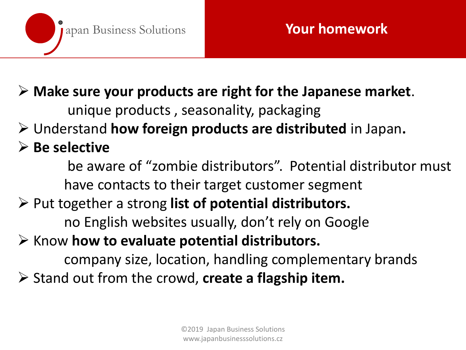

**Make sure your products are right for the Japanese market**.

unique products , seasonality, packaging

Understand **how foreign products are distributed** in Japan**.**

### **Be selective**

be aware of "zombie distributors". Potential distributor must have contacts to their target customer segment

#### Put together a strong **list of potential distributors.**  no English websites usually, don't rely on Google

 $\triangleright$  Know **how to evaluate potential distributors.** 

company size, location, handling complementary brands  $\triangleright$  Stand out from the crowd, **create a flagship item.**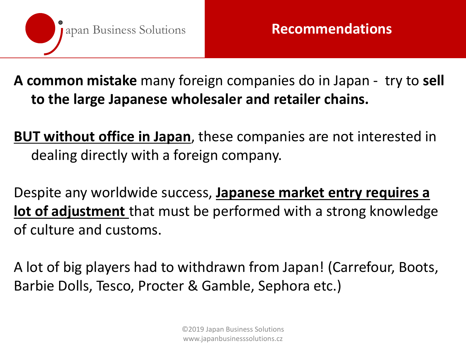

**A common mistake** many foreign companies do in Japan - try to **sell to the large Japanese wholesaler and retailer chains.** 

**BUT without office in Japan**, these companies are not interested in dealing directly with a foreign company.

Despite any worldwide success, **Japanese market entry requires a lot of adjustment** that must be performed with a strong knowledge of culture and customs.

A lot of big players had to withdrawn from Japan! (Carrefour, Boots, Barbie Dolls, Tesco, Procter & Gamble, Sephora etc.)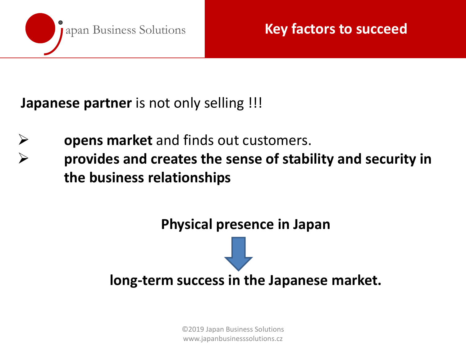

**Japanese partner** is not only selling !!!

- **opens market** and finds out customers.
- **provides and creates the sense of stability and security in the business relationships**

**Physical presence in Japan** 

**long-term success in the Japanese market.**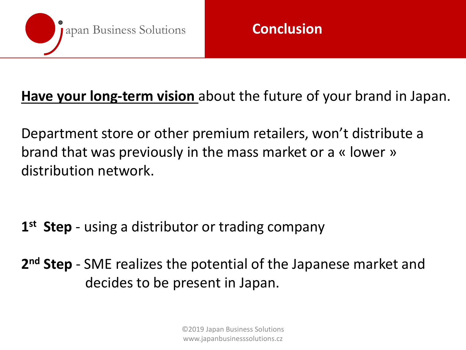

#### **Have your long-term vision** about the future of your brand in Japan.

Department store or other premium retailers, won't distribute a brand that was previously in the mass market or a « lower » distribution network.

**1 st Step** - using a distributor or trading company

**2 nd Step** - SME realizes the potential of the Japanese market and decides to be present in Japan.